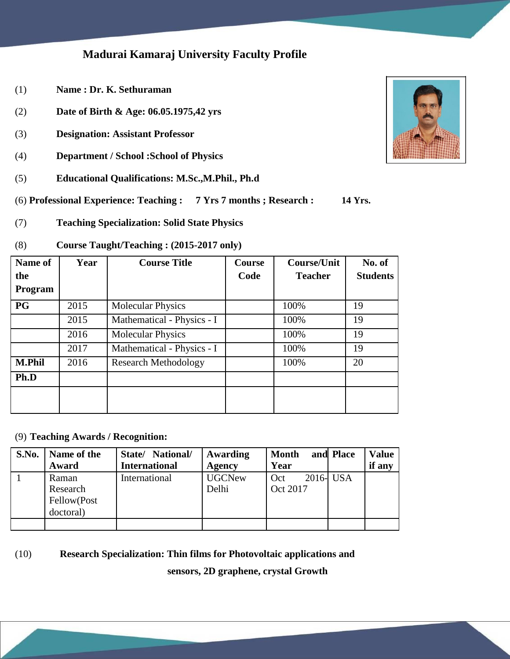### **Madurai Kamaraj University Faculty Profile**

- (1) **Name : Dr. K. Sethuraman**
- (2) **Date of Birth & Age: 06.05.1975,42 yrs**
- (3) **Designation: Assistant Professor**
- (4) **Department / School :School of Physics**
- (5) **Educational Qualifications: M.Sc.,M.Phil., Ph.d**
- (6) **Professional Experience: Teaching : 7 Yrs 7 months ; Research : 14 Yrs.**
- (7) **Teaching Specialization: Solid State Physics**

#### (8) **Course Taught/Teaching : (2015-2017 only)**

| Name of       | Year | <b>Course Title</b>         | Course | <b>Course/Unit</b> | No. of          |
|---------------|------|-----------------------------|--------|--------------------|-----------------|
| the           |      |                             | Code   | <b>Teacher</b>     | <b>Students</b> |
| Program       |      |                             |        |                    |                 |
| <b>PG</b>     | 2015 | <b>Molecular Physics</b>    |        | 100%               | 19              |
|               | 2015 | Mathematical - Physics - I  |        | 100%               | 19              |
|               | 2016 | <b>Molecular Physics</b>    |        | 100%               | 19              |
|               | 2017 | Mathematical - Physics - I  |        | 100%               | 19              |
| <b>M.Phil</b> | 2016 | <b>Research Methodology</b> |        | 100%               | 20              |
| Ph.D          |      |                             |        |                    |                 |
|               |      |                             |        |                    |                 |
|               |      |                             |        |                    |                 |

(9) **Teaching Awards / Recognition:**

| S.No. | Name of the                                   | State/ National/     | Awarding               | <b>Month</b>    | and Place | <b>Value</b> |
|-------|-----------------------------------------------|----------------------|------------------------|-----------------|-----------|--------------|
|       | Award                                         | <b>International</b> | <b>Agency</b>          | Year            |           | if any       |
|       | Raman<br>Research<br>Fellow(Post<br>doctoral) | International        | <b>UGCNew</b><br>Delhi | Oct<br>Oct 2017 | 2016- USA |              |
|       |                                               |                      |                        |                 |           |              |

#### (10) **Research Specialization: Thin films for Photovoltaic applications and**

**sensors, 2D graphene, crystal Growth**

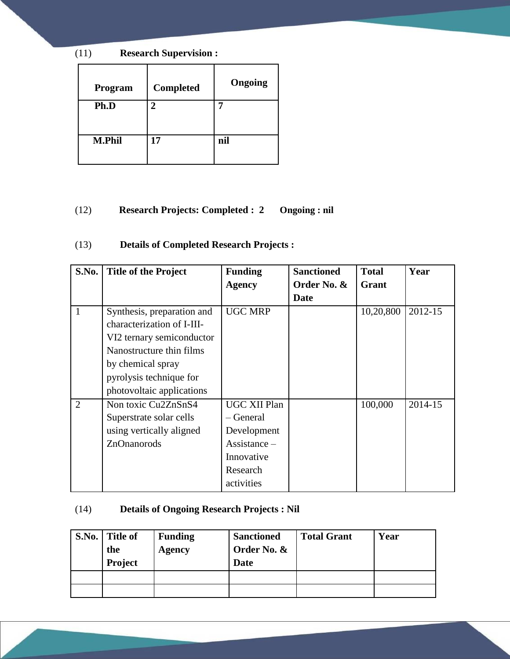(11) **Research Supervision :**

| Program       | <b>Completed</b> | Ongoing |
|---------------|------------------|---------|
| Ph.D          | 2                |         |
|               |                  |         |
| <b>M.Phil</b> | 17               | nil     |
|               |                  |         |

#### (12) **Research Projects: Completed : 2 Ongoing : nil**

(13) **Details of Completed Research Projects :**

| S.No.          | <b>Title of the Project</b> | <b>Funding</b>                   | <b>Sanctioned</b> | <b>Total</b> | Year    |
|----------------|-----------------------------|----------------------------------|-------------------|--------------|---------|
|                |                             | <b>Agency</b>                    | Order No. &       | Grant        |         |
|                |                             |                                  | Date              |              |         |
| $\mathbf{1}$   | Synthesis, preparation and  | <b>UGC MRP</b>                   |                   | 10,20,800    | 2012-15 |
|                | characterization of I-III-  |                                  |                   |              |         |
|                | VI2 ternary semiconductor   |                                  |                   |              |         |
|                | Nanostructure thin films    |                                  |                   |              |         |
|                | by chemical spray           |                                  |                   |              |         |
|                | pyrolysis technique for     |                                  |                   |              |         |
|                | photovoltaic applications   |                                  |                   |              |         |
| $\overline{2}$ | Non toxic Cu2ZnSnS4         | <b>UGC XII Plan</b>              |                   | 100,000      | 2014-15 |
|                | Superstrate solar cells     | – General                        |                   |              |         |
|                | using vertically aligned    | Development                      |                   |              |         |
|                | ZnOnanorods                 | $\overline{ {\rm Assistance}}$ – |                   |              |         |
|                |                             | Innovative                       |                   |              |         |
|                |                             | Research                         |                   |              |         |
|                |                             | activities                       |                   |              |         |

### (14) **Details of Ongoing Research Projects : Nil**

| S.No. Title of<br>the<br>Project | <b>Funding</b><br>Agency | <b>Sanctioned</b><br>Order No. &<br><b>Date</b> | <b>Total Grant</b> | Year |
|----------------------------------|--------------------------|-------------------------------------------------|--------------------|------|
|                                  |                          |                                                 |                    |      |
|                                  |                          |                                                 |                    |      |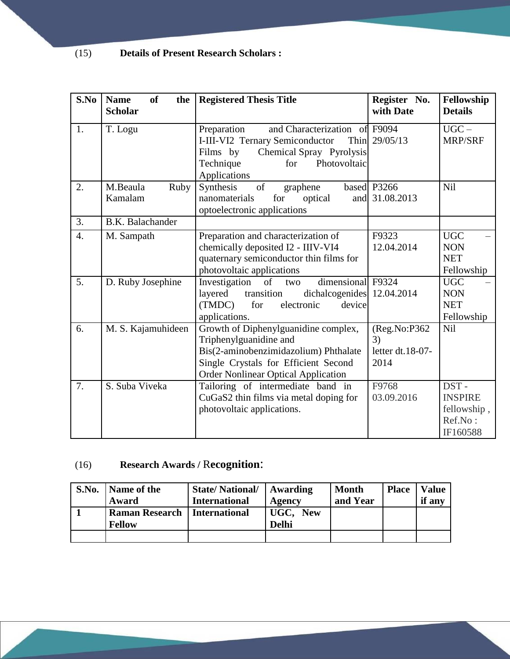## (15) **Details of Present Research Scholars :**

| S.No             | <b>Name</b><br><b>of</b><br>the<br><b>Scholar</b> | <b>Registered Thesis Title</b>                                                                                                                                                                | Register No.<br>with Date                      | Fellowship<br><b>Details</b>                                 |
|------------------|---------------------------------------------------|-----------------------------------------------------------------------------------------------------------------------------------------------------------------------------------------------|------------------------------------------------|--------------------------------------------------------------|
| 1.               | T. Logu                                           | Preparation<br>and Characterization of F9094<br>I-III-VI2 Ternary Semiconductor<br>Films by<br>Chemical Spray Pyrolysis<br>Photovoltaic<br>Technique<br>for<br>Applications                   | Thin 29/05/13                                  | $\overline{UGC}$ –<br><b>MRP/SRF</b>                         |
| 2.               | M.Beaula<br>Ruby<br>Kamalam                       | of<br>Synthesis<br>graphene<br>nanomaterials<br>for<br>optical<br>optoelectronic applications                                                                                                 | based P3266<br>and 31.08.2013                  | Nil                                                          |
| 3.               | <b>B.K.</b> Balachander                           |                                                                                                                                                                                               |                                                |                                                              |
| $\overline{4}$ . | M. Sampath                                        | Preparation and characterization of<br>chemically deposited I2 - IIIV-VI4<br>quaternary semiconductor thin films for<br>photovoltaic applications                                             | F9323<br>12.04.2014                            | <b>UGC</b><br><b>NON</b><br><b>NET</b><br>Fellowship         |
| 5.               | D. Ruby Josephine                                 | dimensional F9324<br>Investigation<br>of<br>two<br>layered<br>dichalcogenides 12.04.2014<br>transition<br>(TMDC)<br>for<br>electronic<br>device<br>applications.                              |                                                | <b>UGC</b><br><b>NON</b><br><b>NET</b><br>Fellowship         |
| 6.               | M. S. Kajamuhideen                                | Growth of Diphenylguanidine complex,<br>Triphenylguanidine and<br>Bis(2-aminobenzimidazolium) Phthalate<br>Single Crystals for Efficient Second<br><b>Order Nonlinear Optical Application</b> | (Reg.No:P362<br>3)<br>letter dt.18-07-<br>2014 | Nil                                                          |
| 7.               | S. Suba Viveka                                    | Tailoring of intermediate band in<br>CuGaS2 thin films via metal doping for<br>photovoltaic applications.                                                                                     | F9768<br>03.09.2016                            | DST-<br><b>INSPIRE</b><br>fellowship,<br>Ref.No:<br>IF160588 |

# (16) **Research Awards /** R**ecognition**:

| S.No. | Name of the           | <b>State/National/</b> | Awarding     | <b>Month</b> | <b>Place</b> | <b>Value</b> |
|-------|-----------------------|------------------------|--------------|--------------|--------------|--------------|
|       | Award                 | <b>International</b>   | Agency       | and Year     |              | if any       |
|       | <b>Raman Research</b> | International          | UGC, New     |              |              |              |
|       | <b>Fellow</b>         |                        | <b>Delhi</b> |              |              |              |
|       |                       |                        |              |              |              |              |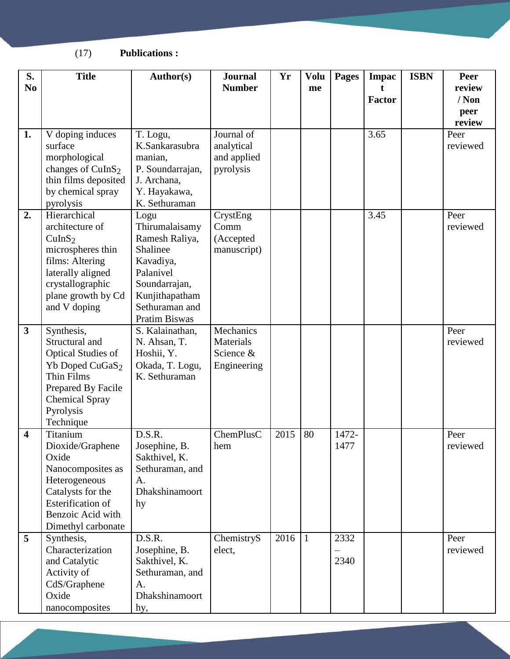(17) **Publications :**

| S.<br>N <sub>0</sub>    | <b>Title</b>                                                                                                                                                                    | Author(s)                                                                                                                                                   | <b>Journal</b><br><b>Number</b>                      | Yr   | <b>Volu</b><br>me | <b>Pages</b>  | <b>Impac</b><br>Factor | <b>ISBN</b> | Peer<br>review<br>$/$ Non<br>peer<br>review |
|-------------------------|---------------------------------------------------------------------------------------------------------------------------------------------------------------------------------|-------------------------------------------------------------------------------------------------------------------------------------------------------------|------------------------------------------------------|------|-------------------|---------------|------------------------|-------------|---------------------------------------------|
| 1.                      | V doping induces<br>surface<br>morphological<br>changes of CuInS <sub>2</sub><br>thin films deposited<br>by chemical spray<br>pyrolysis                                         | T. Logu,<br>K.Sankarasubra<br>manian,<br>P. Soundarrajan,<br>J. Archana,<br>Y. Hayakawa,<br>K. Sethuraman                                                   | Journal of<br>analytical<br>and applied<br>pyrolysis |      |                   |               | 3.65                   |             | Peer<br>reviewed                            |
| 2.                      | Hierarchical<br>architecture of<br>CuInS <sub>2</sub><br>microspheres thin<br>films: Altering<br>laterally aligned<br>crystallographic<br>plane growth by Cd<br>and V doping    | Logu<br>Thirumalaisamy<br>Ramesh Raliya,<br>Shalinee<br>Kavadiya,<br>Palanivel<br>Soundarrajan,<br>Kunjithapatham<br>Sethuraman and<br><b>Pratim Biswas</b> | CrystEng<br>Comm<br>(Accepted<br>manuscript)         |      |                   |               | 3.45                   |             | Peer<br>reviewed                            |
| $\overline{\mathbf{3}}$ | Synthesis,<br>Structural and<br><b>Optical Studies of</b><br>Yb Doped CuGaS <sub>2</sub><br>Thin Films<br>Prepared By Facile<br><b>Chemical Spray</b><br>Pyrolysis<br>Technique | S. Kalainathan,<br>N. Ahsan, T.<br>Hoshii, Y.<br>Okada, T. Logu,<br>K. Sethuraman                                                                           | Mechanics<br>Materials<br>Science &<br>Engineering   |      |                   |               |                        |             | Peer<br>reviewed                            |
| 4                       | Titanium<br>Dioxide/Graphene<br>Oxide<br>Nanocomposites as<br>Heterogeneous<br>Catalysts for the<br>Esterification of<br>Benzoic Acid with<br>Dimethyl carbonate                | D.S.R.<br>Josephine, B.<br>Sakthivel, K.<br>Sethuraman, and<br>A.<br>Dhakshinamoort<br>hy                                                                   | ChemPlusC<br>hem                                     | 2015 | 80                | 1472-<br>1477 |                        |             | Peer<br>reviewed                            |
| 5                       | Synthesis,<br>Characterization<br>and Catalytic<br>Activity of<br>CdS/Graphene<br>Oxide<br>nanocomposites                                                                       | D.S.R.<br>Josephine, B.<br>Sakthivel, K.<br>Sethuraman, and<br>A.<br>Dhakshinamoort<br>hy,                                                                  | ChemistryS<br>elect,                                 | 2016 | $\mathbf{1}$      | 2332<br>2340  |                        |             | Peer<br>reviewed                            |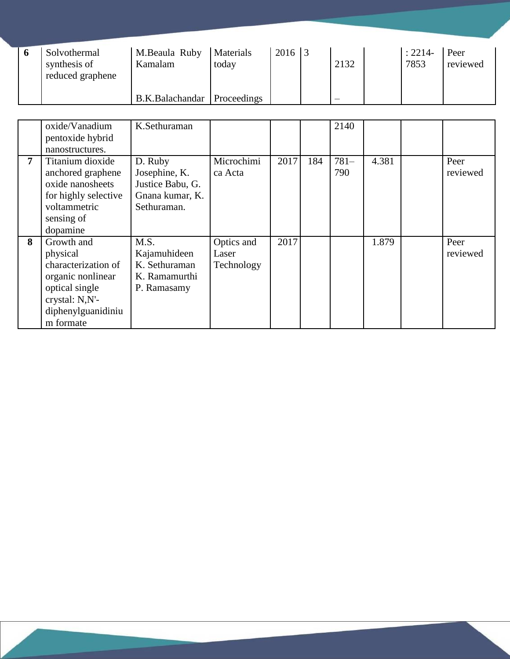| Solvothermal<br>synthesis of<br>reduced graphene | M.Beaula Ruby<br>Kamalam      | Materials<br>today | $2016$ 3 | 2132                     | $: 2214-$<br>7853 | Peer<br>reviewed |
|--------------------------------------------------|-------------------------------|--------------------|----------|--------------------------|-------------------|------------------|
|                                                  | B.K.Balachandar   Proceedings |                    |          | $\overline{\phantom{m}}$ |                   |                  |

|   | oxide/Vanadium       | K.Sethuraman     |            |      |     | 2140    |       |          |
|---|----------------------|------------------|------------|------|-----|---------|-------|----------|
|   | pentoxide hybrid     |                  |            |      |     |         |       |          |
|   | nanostructures.      |                  |            |      |     |         |       |          |
| 7 | Titanium dioxide     | D. Ruby          | Microchimi | 2017 | 184 | $781 -$ | 4.381 | Peer     |
|   | anchored graphene    | Josephine, K.    | ca Acta    |      |     | 790     |       | reviewed |
|   | oxide nanosheets     | Justice Babu, G. |            |      |     |         |       |          |
|   | for highly selective | Gnana kumar, K.  |            |      |     |         |       |          |
|   | voltammetric         | Sethuraman.      |            |      |     |         |       |          |
|   | sensing of           |                  |            |      |     |         |       |          |
|   | dopamine             |                  |            |      |     |         |       |          |
| 8 | Growth and           | M.S.             | Optics and | 2017 |     |         | 1.879 | Peer     |
|   | physical             | Kajamuhideen     | Laser      |      |     |         |       | reviewed |
|   | characterization of  | K. Sethuraman    | Technology |      |     |         |       |          |
|   | organic nonlinear    | K. Ramamurthi    |            |      |     |         |       |          |
|   | optical single       | P. Ramasamy      |            |      |     |         |       |          |
|   | crystal: N,N'-       |                  |            |      |     |         |       |          |
|   | diphenylguanidiniu   |                  |            |      |     |         |       |          |
|   | m formate            |                  |            |      |     |         |       |          |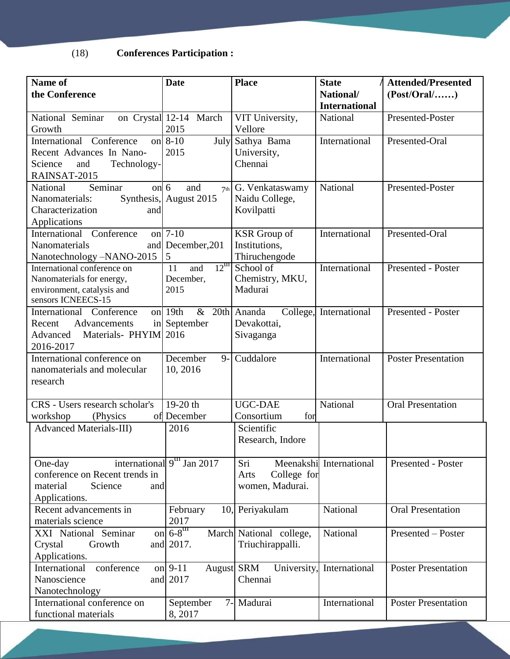(18) **Conferences Participation :**

| Name of<br>the Conference                                                                                    | <b>Date</b>                                       | <b>Place</b>                                          | <b>State</b><br>National/ | <b>Attended/Presented</b><br>(Post/Oral/) |
|--------------------------------------------------------------------------------------------------------------|---------------------------------------------------|-------------------------------------------------------|---------------------------|-------------------------------------------|
|                                                                                                              |                                                   |                                                       | <b>International</b>      |                                           |
| National Seminar<br>Growth                                                                                   | on Crystal 12-14 March<br>2015                    | VIT University,<br>Vellore                            | National                  | Presented-Poster                          |
| International Conference<br>on<br>Recent Advances In Nano-<br>Science<br>Technology-<br>and<br>RAINSAT-2015  | $8 - 10$<br>2015                                  | July Sathya Bama<br>University,<br>Chennai            | International             | Presented-Oral                            |
| Seminar<br>on $6$<br>National<br>Nanomaterials:<br>Characterization<br>and<br>Applications                   | and<br>Synthesis, August 2015                     | $7th$ G. Venkataswamy<br>Naidu College,<br>Kovilpatti | National                  | Presented-Poster                          |
| International Conference<br><b>Nanomaterials</b><br>Nanotechnology -NANO-2015                                | on 7-10<br>and December, 201<br>5                 | <b>KSR</b> Group of<br>Institutions,<br>Thiruchengode | International             | Presented-Oral                            |
| International conference on<br>Nanomaterials for energy,<br>environment, catalysis and<br>sensors ICNEECS-15 | $12^{\text{m}}$<br>and<br>11<br>December,<br>2015 | School of<br>Chemistry, MKU,<br>Madurai               | International             | Presented - Poster                        |
| International Conference<br>Advancements<br>Recent<br>Materials-PHYIM 2016<br>Advanced<br>2016-2017          | & 20th Ananda<br>on 19th<br>in September          | Devakottai,<br>Sivaganga                              | College, International    | Presented - Poster                        |
| International conference on<br>nanomaterials and molecular<br>research                                       | December<br>$9 -$<br>10, 2016                     | Cuddalore                                             | International             | <b>Poster Presentation</b>                |
| CRS - Users research scholar's<br>workshop<br>(Physics)<br>of                                                | $19-20$ th<br>December                            | <b>UGC-DAE</b><br>Consortium<br>for                   | National                  | <b>Oral Presentation</b>                  |
| <b>Advanced Materials-III)</b>                                                                               | 2016                                              | Scientific<br>Research, Indore                        |                           |                                           |
| One-day<br>conference on Recent trends in<br>material<br>Science<br>and<br>Applications.                     | international $9un$ Jan 2017                      | Sri<br>College for<br>Arts<br>women, Madurai.         | Meenakshi International   | Presented - Poster                        |
| Recent advancements in<br>materials science                                                                  | February<br>2017                                  | 10, Periyakulam                                       | National                  | <b>Oral Presentation</b>                  |
| XXI National Seminar<br>Crystal<br>Growth<br>Applications.                                                   | on $6-8^{\text{th}}$<br>and 2017.                 | March National college,<br>Triuchirappalli.           | National                  | Presented - Poster                        |
| International<br>conference<br>Nanoscience<br>Nanotechnology                                                 | on $9-11$<br>and $2017$                           | August SRM<br>University,<br>Chennai                  | International             | <b>Poster Presentation</b>                |
| International conference on<br>functional materials                                                          | September<br>8,2017                               | 7- Madurai                                            | International             | <b>Poster Presentation</b>                |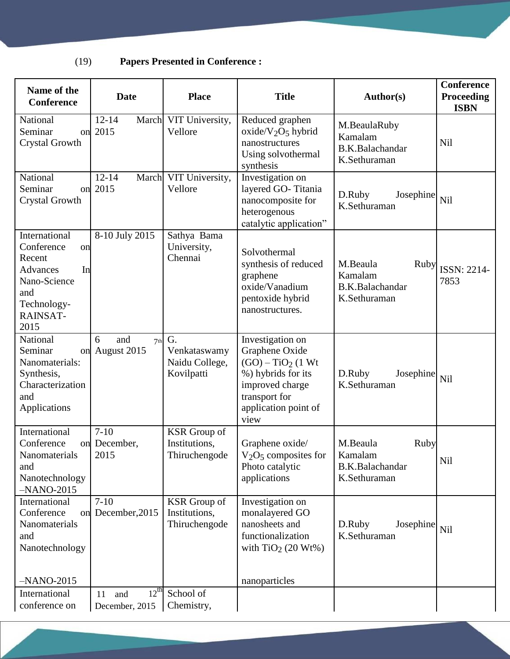# (19) **Papers Presented in Conference :**

| Name of the<br><b>Conference</b>                                                                                               | <b>Date</b>                                   | <b>Place</b>                                          | <b>Title</b>                                                                                                                                        | Author(s)                                                         | <b>Conference</b><br><b>Proceeding</b><br><b>ISBN</b> |
|--------------------------------------------------------------------------------------------------------------------------------|-----------------------------------------------|-------------------------------------------------------|-----------------------------------------------------------------------------------------------------------------------------------------------------|-------------------------------------------------------------------|-------------------------------------------------------|
| National<br>Seminar<br><b>Crystal Growth</b>                                                                                   | $12 - 14$<br>on 2015                          | March VIT University,<br>Vellore                      | Reduced graphen<br>$oxide/V2O5 hybrid$<br>nanostructures<br>Using solvothermal<br>synthesis                                                         | M.BeaulaRuby<br>Kamalam<br><b>B.K.Balachandar</b><br>K.Sethuraman | <b>Nil</b>                                            |
| National<br>Seminar<br><b>Crystal Growth</b>                                                                                   | $12 - 14$<br>March<br>on 2015                 | VIT University,<br>Vellore                            | Investigation on<br>layered GO-Titania<br>nanocomposite for<br>heterogenous<br>catalytic application"                                               | D.Ruby<br>Josephine<br>K.Sethuraman                               | Nil                                                   |
| International<br>Conference<br>on<br>Recent<br>In<br><b>Advances</b><br>Nano-Science<br>and<br>Technology-<br>RAINSAT-<br>2015 | 8-10 July 2015                                | Sathya Bama<br>University,<br>Chennai                 | Solvothermal<br>synthesis of reduced<br>graphene<br>oxide/Vanadium<br>pentoxide hybrid<br>nanostructures.                                           | M.Beaula<br>Ruby<br>Kamalam<br>B.K.Balachandar<br>K.Sethuraman    | ISSN: 2214-<br>7853                                   |
| National<br>Seminar<br>Nanomaterials:<br>Synthesis,<br>Characterization<br>and<br>Applications                                 | 6<br>and<br>7 <sup>th</sup><br>on August 2015 | G.<br>Venkataswamy<br>Naidu College,<br>Kovilpatti    | Investigation on<br>Graphene Oxide<br>$(GO) - TiO2$ (1 Wt<br>%) hybrids for its<br>improved charge<br>transport for<br>application point of<br>view | D.Ruby<br>Josephine<br>K.Sethuraman                               | Nil                                                   |
| International<br>Conference<br>Nanomaterials<br>and<br>Nanotechnology<br>$-NANO-2015$                                          | $7 - 10$<br>on December,<br>2015              | <b>KSR</b> Group of<br>Institutions,<br>Thiruchengode | Graphene oxide/<br>$V2O5$ composites for<br>Photo catalytic<br>applications                                                                         | M.Beaula<br>Ruby<br>Kamalam<br>B.K.Balachandar<br>K.Sethuraman    | Nil                                                   |
| International<br>Conference<br>Nanomaterials<br>and<br>Nanotechnology                                                          | $7 - 10$<br>on December, 2015                 | <b>KSR</b> Group of<br>Institutions,<br>Thiruchengode | Investigation on<br>monalayered GO<br>nanosheets and<br>functionalization<br>with $TiO2$ (20 Wt%)                                                   | D.Ruby<br>Josephine<br>K.Sethuraman                               | Nil                                                   |
| $-NANO-2015$<br>International                                                                                                  | $12^{th}$<br>11<br>and                        | School of                                             | nanoparticles                                                                                                                                       |                                                                   |                                                       |
| conference on                                                                                                                  | December, 2015                                | Chemistry,                                            |                                                                                                                                                     |                                                                   |                                                       |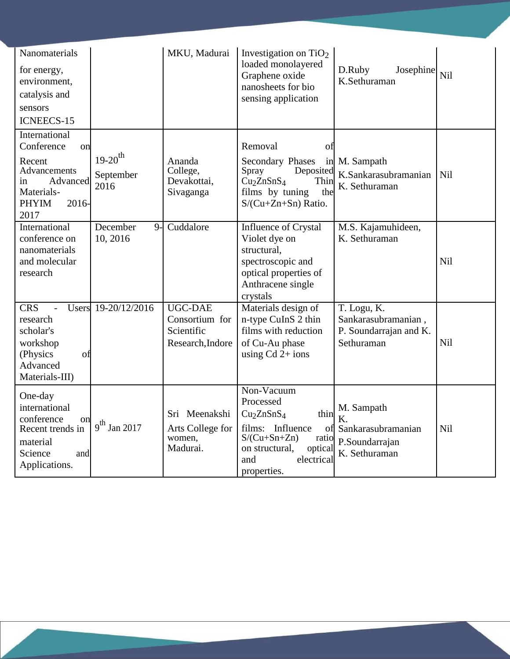| Nanomaterials<br>for energy,<br>environment,<br>catalysis and<br>sensors<br><b>ICNEECS-15</b>                                   |                                   | MKU, Madurai                                                                      | Investigation on $TiO2$<br>loaded monolayered<br>Graphene oxide<br>nanosheets for bio<br>sensing application                                            | D.Ruby<br>Josephine<br>K.Sethuraman                                          | Nil        |
|---------------------------------------------------------------------------------------------------------------------------------|-----------------------------------|-----------------------------------------------------------------------------------|---------------------------------------------------------------------------------------------------------------------------------------------------------|------------------------------------------------------------------------------|------------|
| International<br>Conference<br>on<br>Recent<br>Advancements<br>Advanced<br>in<br>Materials-<br>$2016 -$<br><b>PHYIM</b><br>2017 | $19-20^{th}$<br>September<br>2016 | Ananda<br>College,<br>Devakottai,<br>Sivaganga                                    | Removal<br>O1<br>Secondary Phases<br>Deposited<br>Spray<br>Cu <sub>2</sub> ZnSnS <sub>4</sub><br>Thin<br>films by tuning<br>the<br>$S/Cu+Zn+Sn)$ Ratio. | in M. Sampath<br>K.Sankarasubramanian<br>K. Sethuraman                       | <b>Nil</b> |
| International<br>conference on<br>nanomaterials<br>and molecular<br>research                                                    | December<br>$9-$<br>10, 2016      | Cuddalore                                                                         | <b>Influence of Crystal</b><br>Violet dye on<br>structural,<br>spectroscopic and<br>optical properties of<br>Anthracene single<br>crystals              | M.S. Kajamuhideen,<br>K. Sethuraman                                          | Nil        |
| <b>CRS</b><br>$\blacksquare$<br>research<br>scholar's<br>workshop<br>(Physics<br>ΟÌ<br>Advanced<br>Materials-III)               | Users 19-20/12/2016               | <b>UGC-DAE</b><br>Consortium for<br>Scientific<br>Research, Indore                | Materials design of<br>n-type CuInS 2 thin<br>films with reduction<br>of Cu-Au phase<br>using $Cd$ 2+ ions                                              | T. Logu, K.<br>Sankarasubramanian,<br>P. Soundarrajan and K.<br>Sethuraman   | Nil        |
| One-day<br>international<br>conference<br>on<br>Recent trends in<br>material<br>Science<br>and<br>Applications.                 | $9^{\text{th}}$ Jan 2017          | Sri Meenakshi $\vert Cu_2ZnSnS_4 \vert$<br>Arts College for<br>women,<br>Madurai. | Non-Vacuum<br>Processed<br>thin<br>films: Influence<br>$S/(Cu+Sn+Zn)$<br>ratio<br>on structural,<br>optical<br>and<br>electrical<br>properties.         | M. Sampath<br>K.<br>of Sankarasubramanian<br>P.Soundarrajan<br>K. Sethuraman | <b>Nil</b> |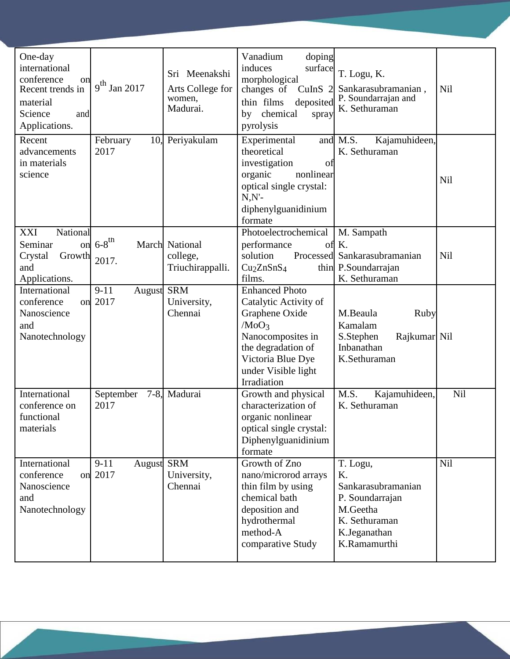| One-day                              |                                |                  | Vanadium<br>doping                                |                              |     |
|--------------------------------------|--------------------------------|------------------|---------------------------------------------------|------------------------------|-----|
| international                        |                                | Sri Meenakshi    | surface<br>induces                                | T. Logu, K.                  |     |
| conference<br>on<br>Recent trends in | $9^{th}$ Jan 2017              | Arts College for | morphological<br>changes of<br>CuInS <sub>2</sub> | Sankarasubramanian,          | Nil |
| material                             |                                | women,           | thin films<br>deposited                           | P. Soundarrajan and          |     |
| Science<br>and                       |                                | Madurai.         | chemical<br>by<br>spray                           | K. Sethuraman                |     |
| Applications.                        |                                |                  | pyrolysis                                         |                              |     |
| Recent                               | February                       | 10, Periyakulam  | Experimental                                      | Kajamuhideen,<br>and M.S.    |     |
| advancements<br>in materials         | 2017                           |                  | theoretical<br>investigation<br>of                | K. Sethuraman                |     |
| science                              |                                |                  | organic<br>nonlinear                              |                              |     |
|                                      |                                |                  | optical single crystal:                           |                              | Nil |
|                                      |                                |                  | $N.N'$ -                                          |                              |     |
|                                      |                                |                  | diphenylguanidinium                               |                              |     |
| National<br>XXI                      |                                |                  | formate<br>Photoelectrochemical                   | M. Sampath                   |     |
| Seminar<br>on                        | $6-8$ <sup>th</sup>            | March National   | performance<br>ΟÌ                                 | K.                           |     |
| Crystal<br>Growth                    | 2017.                          | college,         | solution                                          | Processed Sankarasubramanian | Nil |
| and                                  |                                | Triuchirappalli. | Cu <sub>2</sub> ZnSnS <sub>4</sub>                | thin P.Soundarrajan          |     |
| Applications.                        |                                |                  | films.                                            | K. Sethuraman                |     |
| International<br>conference<br>on    | August SRM<br>$9 - 11$<br>2017 | University,      | <b>Enhanced Photo</b><br>Catalytic Activity of    |                              |     |
| Nanoscience                          |                                | Chennai          | Graphene Oxide                                    | M.Beaula<br>Ruby             |     |
| and                                  |                                |                  | /MoO <sub>3</sub>                                 | Kamalam                      |     |
| Nanotechnology                       |                                |                  | Nanocomposites in                                 | S.Stephen<br>Rajkumar Nil    |     |
|                                      |                                |                  | the degradation of                                | Inbanathan                   |     |
|                                      |                                |                  | Victoria Blue Dye                                 | K.Sethuraman                 |     |
|                                      |                                |                  | under Visible light<br>Irradiation                |                              |     |
| International                        | September                      | 7-8, Madurai     | Growth and physical                               | M.S.<br>Kajamuhideen,        | Nil |
| conference on                        | 2017                           |                  | characterization of                               | K. Sethuraman                |     |
| functional                           |                                |                  | organic nonlinear                                 |                              |     |
| materials                            |                                |                  | optical single crystal:                           |                              |     |
|                                      |                                |                  | Diphenylguanidinium<br>formate                    |                              |     |
| International                        | $9-11$<br>August               | <b>SRM</b>       | Growth of Zno                                     | T. Logu,                     | Nil |
| conference                           | on 2017                        | University,      | nano/microrod arrays                              | Κ.                           |     |
| Nanoscience                          |                                | Chennai          | thin film by using                                | Sankarasubramanian           |     |
| and                                  |                                |                  | chemical bath                                     | P. Soundarrajan              |     |
| Nanotechnology                       |                                |                  | deposition and<br>hydrothermal                    | M.Geetha<br>K. Sethuraman    |     |
|                                      |                                |                  | method-A                                          | K.Jeganathan                 |     |
|                                      |                                |                  | comparative Study                                 | K.Ramamurthi                 |     |
|                                      |                                |                  |                                                   |                              |     |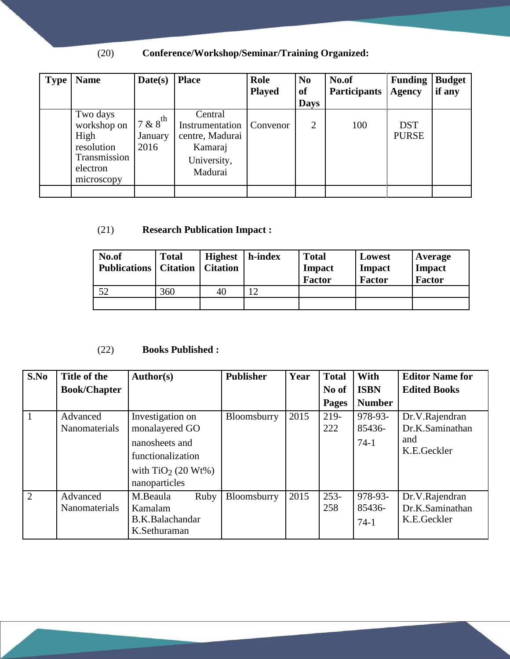# (20) **Conference/Workshop/Seminar/Training Organized:**

| <b>Type</b> | <b>Name</b>                                                                             | Date(s)                                  | <b>Place</b>                                                                       | Role<br><b>Played</b> | N <sub>0</sub><br><b>of</b><br><b>Days</b> | No.of<br><b>Participants</b> | <b>Funding</b><br><b>Agency</b> | <b>Budget</b><br>if any |
|-------------|-----------------------------------------------------------------------------------------|------------------------------------------|------------------------------------------------------------------------------------|-----------------------|--------------------------------------------|------------------------------|---------------------------------|-------------------------|
|             | Two days<br>workshop on<br>High<br>resolution<br>Transmission<br>electron<br>microscopy | $7 & 8$ <sup>th</sup><br>January<br>2016 | Central<br>Instrumentation<br>centre, Madurai<br>Kamaraj<br>University,<br>Madurai | Convenor              | $\overline{2}$                             | 100                          | <b>DST</b><br><b>PURSE</b>      |                         |
|             |                                                                                         |                                          |                                                                                    |                       |                                            |                              |                                 |                         |

### (21) **Research Publication Impact :**

| No.of<br><b>Publications</b>   Citation | <b>Total</b> | <b>Highest</b><br><b>Citation</b> | h-index | <b>Total</b><br>Impact<br><b>Factor</b> | Lowest<br><b>Impact</b><br><b>Factor</b> | Average<br><b>Impact</b><br><b>Factor</b> |
|-----------------------------------------|--------------|-----------------------------------|---------|-----------------------------------------|------------------------------------------|-------------------------------------------|
| 52                                      | 360          | 40                                | 12      |                                         |                                          |                                           |
|                                         |              |                                   |         |                                         |                                          |                                           |

## (22) **Books Published :**

| S.No           | Title of the        | Author(s)            | <b>Publisher</b> | Year | <b>Total</b> | <b>With</b>   | <b>Editor Name for</b> |
|----------------|---------------------|----------------------|------------------|------|--------------|---------------|------------------------|
|                | <b>Book/Chapter</b> |                      |                  |      | No of        | <b>ISBN</b>   | <b>Edited Books</b>    |
|                |                     |                      |                  |      | Pages        | <b>Number</b> |                        |
|                | Advanced            | Investigation on     | Bloomsburry      | 2015 | $219-$       | 978-93-       | Dr.V.Rajendran         |
|                | Nanomaterials       | monalayered GO       |                  |      | 222          | 85436-        | Dr.K.Saminathan        |
|                |                     | nanosheets and       |                  |      |              | $74-1$        | and                    |
|                |                     | functionalization    |                  |      |              |               | K.E.Geckler            |
|                |                     | with $TiO2$ (20 Wt%) |                  |      |              |               |                        |
|                |                     | nanoparticles        |                  |      |              |               |                        |
| $\overline{2}$ | Advanced            | M.Beaula<br>Ruby     | Bloomsburry      | 2015 | $253 -$      | 978-93-       | Dr.V.Rajendran         |
|                | Nanomaterials       | Kamalam              |                  |      | 258          | 85436-        | Dr.K.Saminathan        |
|                |                     | B.K.Balachandar      |                  |      |              | $74-1$        | K.E.Geckler            |
|                |                     | K.Sethuraman         |                  |      |              |               |                        |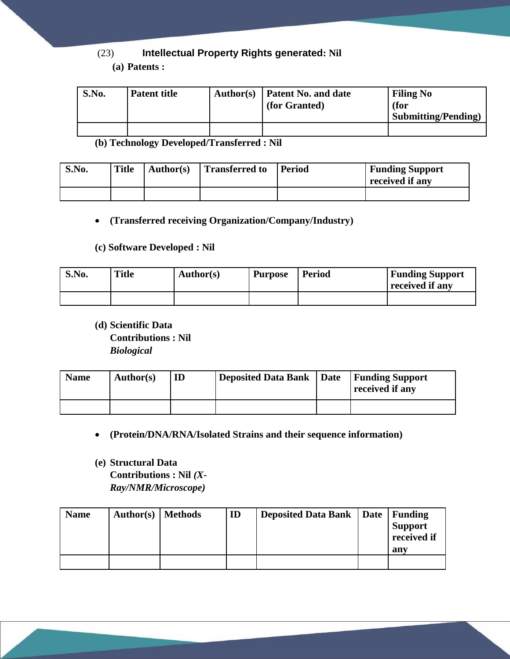### (23) **Intellectual Property Rights generated: Nil**

#### **(a) Patents :**

| S.No. | <b>Patent title</b> | Author(s) | <b>Patent No. and date</b><br>(for Granted) | <b>Filing No</b><br>(for<br><b>Submitting/Pending</b> |
|-------|---------------------|-----------|---------------------------------------------|-------------------------------------------------------|
|       |                     |           |                                             |                                                       |

**(b) Technology Developed/Transferred : Nil**

| S.No. | <b>Title</b> | Author(s) | Transferred to | Period | <b>Funding Support</b><br>received if any |
|-------|--------------|-----------|----------------|--------|-------------------------------------------|
|       |              |           |                |        |                                           |

#### **(Transferred receiving Organization/Company/Industry)**

#### **(c) Software Developed : Nil**

| S.No. | Title | <b>Author(s)</b> | <b>Purpose</b> | <b>Period</b> | <b>Funding Support</b><br>received if any |
|-------|-------|------------------|----------------|---------------|-------------------------------------------|
|       |       |                  |                |               |                                           |

**(d) Scientific Data Contributions : Nil**  *Biological*

| <b>Name</b> | Author(s) | Deposited Data Bank   Date   Funding Support | received if any |
|-------------|-----------|----------------------------------------------|-----------------|
|             |           |                                              |                 |

- **(Protein/DNA/RNA/Isolated Strains and their sequence information)**
- **(e) Structural Data Contributions : Nil** *(X-Ray/NMR/Microscope)*

| <b>Name</b> | Author(s)   Methods | ID | Deposited Data Bank   Date   Funding | <b>Support</b><br>received if<br>any |
|-------------|---------------------|----|--------------------------------------|--------------------------------------|
|             |                     |    |                                      |                                      |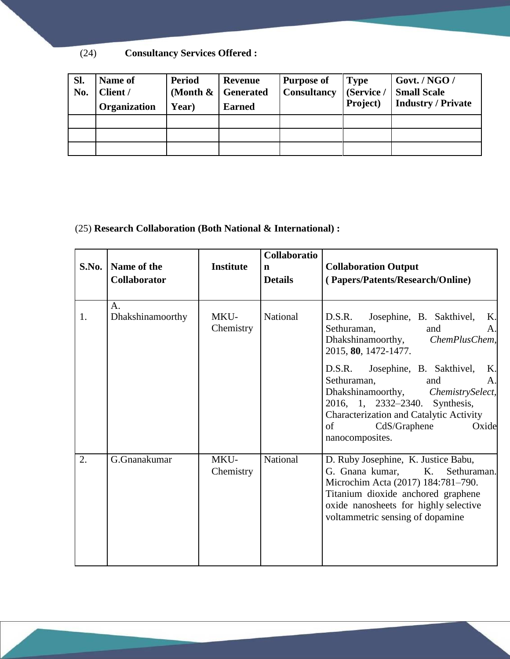(24) **Consultancy Services Offered :**

| Sl.<br>No. | Name of<br>Client /<br>Organization | Period<br>Year) | <b>Revenue</b><br>(Month $\&$   Generated<br><b>Earned</b> | <b>Purpose of</b><br>Consultancy   (Service / | <b>Type</b><br>Project) | Govt. / $NGO/$<br><b>Small Scale</b><br><b>Industry / Private</b> |
|------------|-------------------------------------|-----------------|------------------------------------------------------------|-----------------------------------------------|-------------------------|-------------------------------------------------------------------|
|            |                                     |                 |                                                            |                                               |                         |                                                                   |
|            |                                     |                 |                                                            |                                               |                         |                                                                   |
|            |                                     |                 |                                                            |                                               |                         |                                                                   |

#### (25) **Research Collaboration (Both National & International) :**

| S.No. | Name of the<br>Collaborator | <b>Institute</b>  | Collaboratio<br>$\mathbf n$<br><b>Details</b> | <b>Collaboration Output</b><br>(Papers/Patents/Research/Online)                                                                                                                                                                                                                                                                                                           |
|-------|-----------------------------|-------------------|-----------------------------------------------|---------------------------------------------------------------------------------------------------------------------------------------------------------------------------------------------------------------------------------------------------------------------------------------------------------------------------------------------------------------------------|
| 1.    | A.<br>Dhakshinamoorthy      | MKU-<br>Chemistry | National                                      | Josephine, B. Sakthivel,<br>Κ.<br>D.S.R.<br>Sethuraman,<br>and<br>Α.<br>Dhakshinamoorthy, ChemPlusChem,<br>2015, 80, 1472-1477.<br>D.S.R. Josephine, B. Sakthivel,<br>K.<br>Sethuraman,<br>and<br>A.<br>Dhakshinamoorthy, ChemistrySelect,<br>2016, 1, 2332-2340. Synthesis,<br>Characterization and Catalytic Activity<br>CdS/Graphene<br>Oxide<br>of<br>nanocomposites. |
| 2.    | G.Gnanakumar                | MKU-<br>Chemistry | National                                      | D. Ruby Josephine, K. Justice Babu,<br>G. Gnana kumar, K.<br>Sethuraman.<br>Microchim Acta (2017) 184:781-790.<br>Titanium dioxide anchored graphene<br>oxide nanosheets for highly selective<br>voltammetric sensing of dopamine                                                                                                                                         |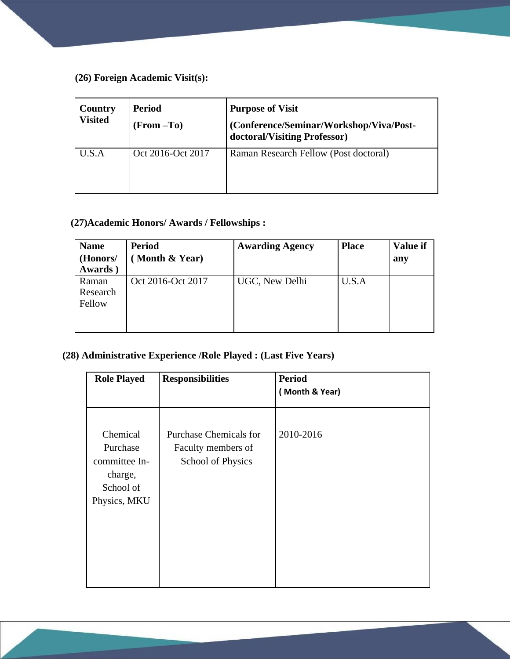**(26) Foreign Academic Visit(s):**

| Country<br><b>Visited</b> | Period<br>$(From -To)$ | <b>Purpose of Visit</b><br>(Conference/Seminar/Workshop/Viva/Post-<br>doctoral/Visiting Professor) |
|---------------------------|------------------------|----------------------------------------------------------------------------------------------------|
| U.S.A                     | Oct 2016-Oct 2017      | Raman Research Fellow (Post doctoral)                                                              |

### **(27)Academic Honors/ Awards / Fellowships :**

| <b>Name</b><br>(Honors/<br>Awards) | <b>Period</b><br>Month & Year) | <b>Awarding Agency</b> | <b>Place</b> | <b>Value if</b><br>any |
|------------------------------------|--------------------------------|------------------------|--------------|------------------------|
| Raman<br>Research<br>Fellow        | Oct 2016-Oct 2017              | UGC, New Delhi         | U.S.A        |                        |

## **(28) Administrative Experience /Role Played : (Last Five Years)**

| <b>Responsibilities</b>                                                         | <b>Period</b><br>(Month & Year) |
|---------------------------------------------------------------------------------|---------------------------------|
| <b>Purchase Chemicals for</b><br>Faculty members of<br><b>School of Physics</b> | 2010-2016                       |
|                                                                                 |                                 |